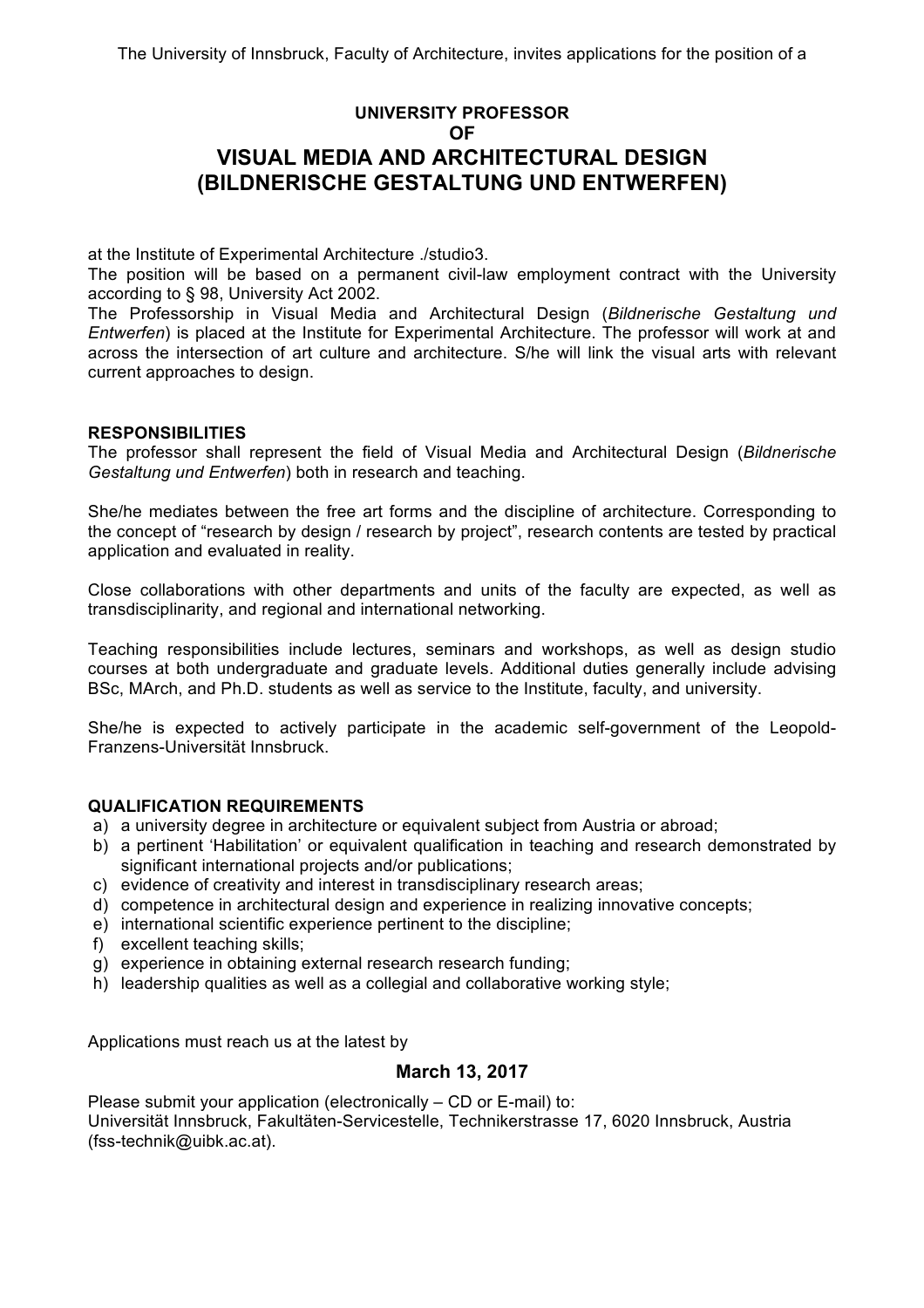## **UNIVERSITY PROFESSOR OF VISUAL MEDIA AND ARCHITECTURAL DESIGN (BILDNERISCHE GESTALTUNG UND ENTWERFEN)**

at the Institute of Experimental Architecture ./studio3.

The position will be based on a permanent civil-law employment contract with the University according to § 98, University Act 2002.

The Professorship in Visual Media and Architectural Design (*Bildnerische Gestaltung und Entwerfen*) is placed at the Institute for Experimental Architecture. The professor will work at and across the intersection of art culture and architecture. S/he will link the visual arts with relevant current approaches to design.

## **RESPONSIBILITIES**

The professor shall represent the field of Visual Media and Architectural Design (*Bildnerische Gestaltung und Entwerfen*) both in research and teaching.

She/he mediates between the free art forms and the discipline of architecture. Corresponding to the concept of "research by design / research by project", research contents are tested by practical application and evaluated in reality.

Close collaborations with other departments and units of the faculty are expected, as well as transdisciplinarity, and regional and international networking.

Teaching responsibilities include lectures, seminars and workshops, as well as design studio courses at both undergraduate and graduate levels. Additional duties generally include advising BSc, MArch, and Ph.D. students as well as service to the Institute, faculty, and university.

She/he is expected to actively participate in the academic self-government of the Leopold-Franzens-Universität Innsbruck.

## **QUALIFICATION REQUIREMENTS**

- a) a university degree in architecture or equivalent subject from Austria or abroad;
- b) a pertinent 'Habilitation' or equivalent qualification in teaching and research demonstrated by significant international projects and/or publications;
- c) evidence of creativity and interest in transdisciplinary research areas;
- d) competence in architectural design and experience in realizing innovative concepts;
- e) international scientific experience pertinent to the discipline;
- f) excellent teaching skills;
- g) experience in obtaining external research research funding;
- h) leadership qualities as well as a collegial and collaborative working style;

Applications must reach us at the latest by

## **March 13, 2017**

Please submit your application (electronically – CD or E-mail) to: Universität Innsbruck, Fakultäten-Servicestelle, Technikerstrasse 17, 6020 Innsbruck, Austria (fss-technik@uibk.ac.at).